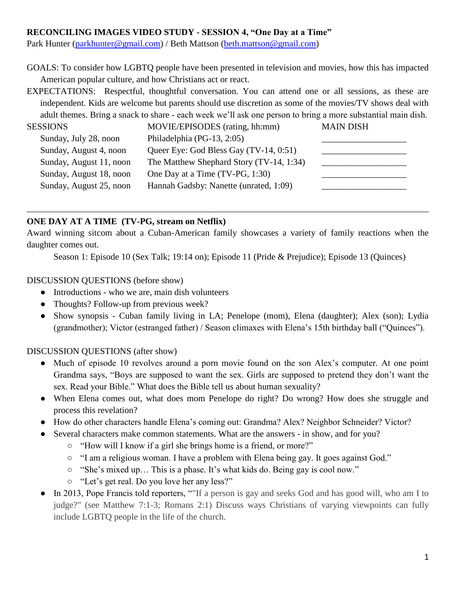## **RECONCILING IMAGES VIDEO STUDY - SESSION 4, "One Day at a Time"**

Park Hunter [\(parkhunter@gmail.com\)](mailto:parkhunter@gmail.com) / Beth Mattson [\(beth.mattson@gmail.com\)](mailto:beth.mattson@gmail.com)

GOALS: To consider how LGBTQ people have been presented in television and movies, how this has impacted American popular culture, and how Christians act or react.

EXPECTATIONS: Respectful, thoughtful conversation. You can attend one or all sessions, as these are independent. Kids are welcome but parents should use discretion as some of the movies/TV shows deal with adult themes. Bring a snack to share - each week we'll ask one person to bring a more substantial main dish.

| <b>SESSIONS</b>         | MOVIE/EPISODES (rating, hh:mm)           | <b>MAIN DISH</b> |
|-------------------------|------------------------------------------|------------------|
| Sunday, July 28, noon   | Philadelphia (PG-13, 2:05)               |                  |
| Sunday, August 4, noon  | Queer Eye: God Bless Gay (TV-14, 0:51)   |                  |
| Sunday, August 11, noon | The Matthew Shephard Story (TV-14, 1:34) |                  |
| Sunday, August 18, noon | One Day at a Time (TV-PG, 1:30)          |                  |
| Sunday, August 25, noon | Hannah Gadsby: Nanette (unrated, 1:09)   |                  |
|                         |                                          |                  |

# **ONE DAY AT A TIME (TV-PG, stream on Netflix)**

Award winning sitcom about a Cuban-American family showcases a variety of family reactions when the daughter comes out.

Season 1: Episode 10 (Sex Talk; 19:14 on); Episode 11 (Pride & Prejudice); Episode 13 (Quinces)

#### DISCUSSION QUESTIONS (before show)

- Introductions who we are, main dish volunteers
- Thoughts? Follow-up from previous week?
- Show synopsis Cuban family living in LA; Penelope (mom), Elena (daughter); Alex (son); Lydia (grandmother); Victor (estranged father) / Season climaxes with Elena's 15th birthday ball ("Quinces").

DISCUSSION QUESTIONS (after show)

- Much of episode 10 revolves around a porn movie found on the son Alex's computer. At one point Grandma says, "Boys are supposed to want the sex. Girls are supposed to pretend they don't want the sex. Read your Bible." What does the Bible tell us about human sexuality?
- When Elena comes out, what does mom Penelope do right? Do wrong? How does she struggle and process this revelation?
- How do other characters handle Elena's coming out: Grandma? Alex? Neighbor Schneider? Victor?
- Several characters make common statements. What are the answers in show, and for you?
	- "How will I know if a girl she brings home is a friend, or more?"
	- "I am a religious woman. I have a problem with Elena being gay. It goes against God."
	- "She's mixed up… This is a phase. It's what kids do. Being gay is cool now."
	- "Let's get real. Do you love her any less?"
- In 2013, Pope Francis told reporters, ""If a person is gay and seeks God and has good will, who am I to judge?" (see Matthew 7:1-3; Romans 2:1) Discuss ways Christians of varying viewpoints can fully include LGBTQ people in the life of the church.